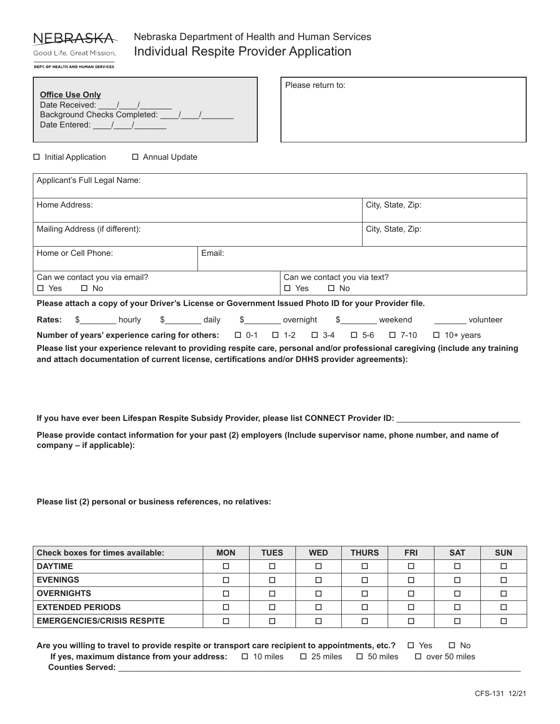# **NEBRA**

## Nebraska Department of Health and Human Services Individual Respite Provider Application

Good Life. Great Mission. DEPT. OF HEALTH AND HUMAN SERVICES

|                                     | Please return to: |
|-------------------------------------|-------------------|
| <b>Office Use Only</b>              |                   |
| Date Received:                      |                   |
| <b>Background Checks Completed:</b> |                   |
| Date Entered:                       |                   |
|                                     |                   |

 $\Box$  Initial Application  $\Box$  Annual Update

| Applicant's Full Legal Name:                                                                                      |        |  |                   |  |  |  |
|-------------------------------------------------------------------------------------------------------------------|--------|--|-------------------|--|--|--|
| Home Address:                                                                                                     |        |  | City, State, Zip: |  |  |  |
| Mailing Address (if different):                                                                                   |        |  | City, State, Zip: |  |  |  |
| Home or Cell Phone:                                                                                               | Email: |  |                   |  |  |  |
| Can we contact you via email?<br>Can we contact you via text?<br>□ Yes<br>$\square$ No<br>$\Box$ Yes<br>$\Box$ No |        |  |                   |  |  |  |
| Please attach a copy of your Driver's License or Government Issued Photo ID for your Provider file.               |        |  |                   |  |  |  |

| Rates: \$ | hourly | daily | overnight |  | weekend | volunteer                                                                                                                      |
|-----------|--------|-------|-----------|--|---------|--------------------------------------------------------------------------------------------------------------------------------|
|           |        |       |           |  |         | <b>Number of years' experience caring for others:</b> $\Box$ 0-1 $\Box$ 1-2 $\Box$ 3-4 $\Box$ 5-6 $\Box$ 7-10 $\Box$ 10+ years |

**Please list your experience relevant to providing respite care, personal and/or professional caregiving (include any training and attach documentation of current license, certifications and/or DHHS provider agreements):**

If you have ever been Lifespan Respite Subsidy Provider, please list CONNECT Provider ID:

**Please provide contact information for your past (2) employers (Include supervisor name, phone number, and name of company – if applicable):**

**Please list (2) personal or business references, no relatives:**

| Check boxes for times available:  | <b>MON</b> | <b>TUES</b> | <b>WED</b> | <b>THURS</b> | <b>FRI</b> | <b>SAT</b> | <b>SUN</b> |
|-----------------------------------|------------|-------------|------------|--------------|------------|------------|------------|
| <b>DAYTIME</b>                    |            | □           |            |              |            |            |            |
| <b>EVENINGS</b>                   |            | П           |            | □            |            |            |            |
| <b>OVERNIGHTS</b>                 |            | □           |            | □            |            |            |            |
| <b>EXTENDED PERIODS</b>           |            | П           |            | □            |            |            |            |
| <b>EMERGENCIES/CRISIS RESPITE</b> |            |             |            |              |            |            |            |

**Are you willing to travel to provide respite or transport care recipient to appointments, etc.?** □ Yes □ No **If yes, maximum distance from your address:**  $\Box$  10 miles  $\Box$  25 miles  $\Box$  50 miles  $\Box$  over 50 miles **Counties Served:** \_\_\_\_\_\_\_\_\_\_\_\_\_\_\_\_\_\_\_\_\_\_\_\_\_\_\_\_\_\_\_\_\_\_\_\_\_\_\_\_\_\_\_\_\_\_\_\_\_\_\_\_\_\_\_\_\_\_\_\_\_\_\_\_\_\_\_\_\_\_\_\_\_\_\_\_\_\_\_\_\_\_\_\_\_\_\_\_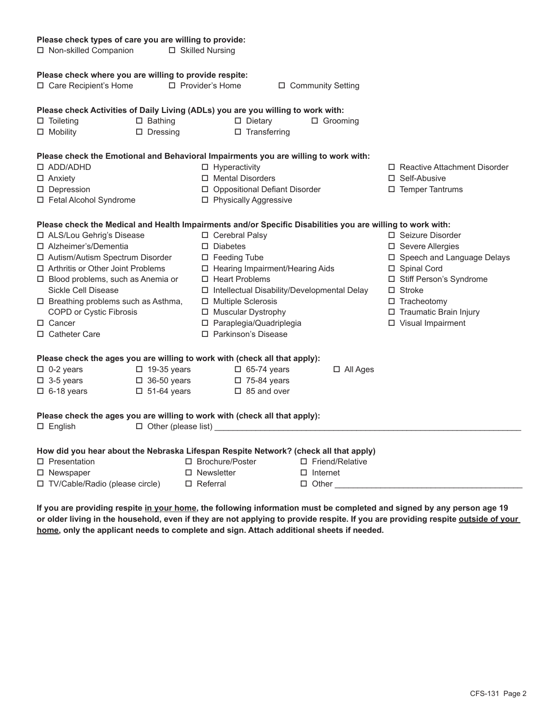| Please check types of care you are willing to provide: |                                           |                                                                                                            |                          |                                |  |  |  |  |  |
|--------------------------------------------------------|-------------------------------------------|------------------------------------------------------------------------------------------------------------|--------------------------|--------------------------------|--|--|--|--|--|
| □ Non-skilled Companion                                |                                           | □ Skilled Nursing                                                                                          |                          |                                |  |  |  |  |  |
| Please check where you are willing to provide respite: |                                           |                                                                                                            |                          |                                |  |  |  |  |  |
| □ Care Recipient's Home                                |                                           | □ Provider's Home                                                                                          | $\Box$ Community Setting |                                |  |  |  |  |  |
|                                                        |                                           | Please check Activities of Daily Living (ADLs) you are you willing to work with:                           |                          |                                |  |  |  |  |  |
| $\Box$ Toileting                                       | $\square$ Bathing                         | $\square$ Dietary                                                                                          | $\Box$ Grooming          |                                |  |  |  |  |  |
| $\Box$ Mobility                                        | $\square$ Transferring<br>$\Box$ Dressing |                                                                                                            |                          |                                |  |  |  |  |  |
|                                                        |                                           | Please check the Emotional and Behavioral Impairments you are willing to work with:                        |                          |                                |  |  |  |  |  |
| $\square$ ADD/ADHD                                     |                                           | $\Box$ Hyperactivity                                                                                       |                          | □ Reactive Attachment Disorder |  |  |  |  |  |
| $\Box$ Anxiety                                         |                                           | □ Mental Disorders                                                                                         |                          | □ Self-Abusive                 |  |  |  |  |  |
| □ Depression                                           |                                           | □ Oppositional Defiant Disorder                                                                            |                          | □ Temper Tantrums              |  |  |  |  |  |
| $\Box$ Fetal Alcohol Syndrome                          |                                           | □ Physically Aggressive                                                                                    |                          |                                |  |  |  |  |  |
|                                                        |                                           | Please check the Medical and Health Impairments and/or Specific Disabilities you are willing to work with: |                          |                                |  |  |  |  |  |
| □ ALS/Lou Gehrig's Disease                             |                                           | □ Cerebral Palsy                                                                                           |                          | □ Seizure Disorder             |  |  |  |  |  |
| □ Alzheimer's/Dementia                                 |                                           | $\Box$ Diabetes                                                                                            |                          | □ Severe Allergies             |  |  |  |  |  |
| □ Autism/Autism Spectrum Disorder                      |                                           | □ Feeding Tube                                                                                             |                          | □ Speech and Language Delays   |  |  |  |  |  |
| $\Box$ Arthritis or Other Joint Problems               |                                           | □ Hearing Impairment/Hearing Aids                                                                          |                          | □ Spinal Cord                  |  |  |  |  |  |
| □ Blood problems, such as Anemia or                    |                                           | □ Heart Problems                                                                                           |                          | □ Stiff Person's Syndrome      |  |  |  |  |  |
| Sickle Cell Disease                                    |                                           | □ Intellectual Disability/Developmental Delay                                                              |                          | $\Box$ Stroke                  |  |  |  |  |  |
| □ Breathing problems such as Asthma,                   |                                           | □ Multiple Sclerosis                                                                                       |                          | □ Tracheotomy                  |  |  |  |  |  |
| COPD or Cystic Fibrosis                                |                                           | □ Muscular Dystrophy                                                                                       |                          | □ Traumatic Brain Injury       |  |  |  |  |  |
| □ Cancer                                               |                                           | □ Paraplegia/Quadriplegia                                                                                  |                          | □ Visual Impairment            |  |  |  |  |  |
| □ Catheter Care                                        |                                           | □ Parkinson's Disease                                                                                      |                          |                                |  |  |  |  |  |
|                                                        |                                           | Please check the ages you are willing to work with (check all that apply):                                 |                          |                                |  |  |  |  |  |
| $\Box$ 0-2 years                                       | $\Box$ 19-35 years                        | $\Box$ 65-74 years                                                                                         | $\Box$ All Ages          |                                |  |  |  |  |  |
| $\square$ 3-5 years                                    | $\Box$ 36-50 years                        | $\square$ 75-84 years                                                                                      |                          |                                |  |  |  |  |  |
| $\Box$ 6-18 years                                      | $\Box$ 51-64 years                        | $\Box$ 85 and over                                                                                         |                          |                                |  |  |  |  |  |
|                                                        |                                           | Please check the ages you are willing to work with (check all that apply):                                 |                          |                                |  |  |  |  |  |
| $\square$ English                                      |                                           | □ Other (please list)                                                                                      |                          |                                |  |  |  |  |  |
|                                                        |                                           | How did you hear about the Nebraska Lifespan Respite Network? (check all that apply)                       |                          |                                |  |  |  |  |  |
| $\square$ Presentation                                 |                                           | □ Brochure/Poster                                                                                          | □ Friend/Relative        |                                |  |  |  |  |  |
| $\Box$ Newspaper                                       |                                           | $\Box$ Newsletter                                                                                          | $\Box$ Internet          |                                |  |  |  |  |  |
| □ TV/Cable/Radio (please circle)                       |                                           | $\Box$ Referral                                                                                            | $\Box$ Other             |                                |  |  |  |  |  |
|                                                        |                                           |                                                                                                            |                          |                                |  |  |  |  |  |

**If you are providing respite in your home, the following information must be completed and signed by any person age 19 or older living in the household, even if they are not applying to provide respite. If you are providing respite outside of your home, only the applicant needs to complete and sign. Attach additional sheets if needed.**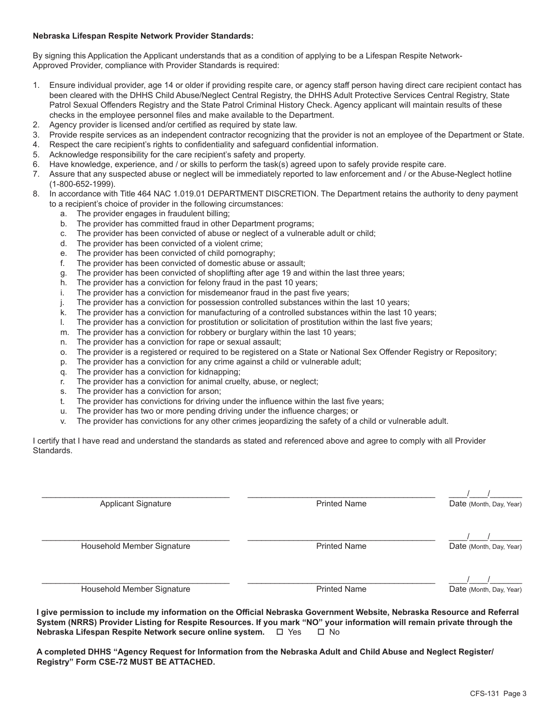#### **Nebraska Lifespan Respite Network Provider Standards:**

By signing this Application the Applicant understands that as a condition of applying to be a Lifespan Respite Network-Approved Provider, compliance with Provider Standards is required:

- 1. Ensure individual provider, age 14 or older if providing respite care, or agency staff person having direct care recipient contact has been cleared with the DHHS Child Abuse/Neglect Central Registry, the DHHS Adult Protective Services Central Registry, State Patrol Sexual Offenders Registry and the State Patrol Criminal History Check. Agency applicant will maintain results of these checks in the employee personnel files and make available to the Department.
- 2. Agency provider is licensed and/or certified as required by state law.
- 3. Provide respite services as an independent contractor recognizing that the provider is not an employee of the Department or State.
- 4. Respect the care recipient's rights to confidentiality and safeguard confidential information.
- 5. Acknowledge responsibility for the care recipient's safety and property.
- 6. Have knowledge, experience, and / or skills to perform the task(s) agreed upon to safely provide respite care.
- 7. Assure that any suspected abuse or neglect will be immediately reported to law enforcement and / or the Abuse-Neglect hotline (1-800-652-1999).
- 8. In accordance with Title 464 NAC 1.019.01 DEPARTMENT DISCRETION. The Department retains the authority to deny payment to a recipient's choice of provider in the following circumstances:
	- a. The provider engages in fraudulent billing;
	- b. The provider has committed fraud in other Department programs;
	- c. The provider has been convicted of abuse or neglect of a vulnerable adult or child;
	- d. The provider has been convicted of a violent crime;
	- e. The provider has been convicted of child pornography;
	- f. The provider has been convicted of domestic abuse or assault;
	- g. The provider has been convicted of shoplifting after age 19 and within the last three years;
	- h. The provider has a conviction for felony fraud in the past 10 years;
	- i. The provider has a conviction for misdemeanor fraud in the past five years;
	- j. The provider has a conviction for possession controlled substances within the last 10 years;
	- k. The provider has a conviction for manufacturing of a controlled substances within the last 10 years;
	- l. The provider has a conviction for prostitution or solicitation of prostitution within the last five years;
	- m. The provider has a conviction for robbery or burglary within the last 10 years;
	- n. The provider has a conviction for rape or sexual assault;
	- o. The provider is a registered or required to be registered on a State or National Sex Offender Registry or Repository;
	- p. The provider has a conviction for any crime against a child or vulnerable adult;
	- q. The provider has a conviction for kidnapping;
	- r. The provider has a conviction for animal cruelty, abuse, or neglect;
	- s. The provider has a conviction for arson;
	- t. The provider has convictions for driving under the influence within the last five years;
	- u. The provider has two or more pending driving under the influence charges; or
	- v. The provider has convictions for any other crimes jeopardizing the safety of a child or vulnerable adult.

I certify that I have read and understand the standards as stated and referenced above and agree to comply with all Provider Standards.

| <b>Applicant Signature</b> | <b>Printed Name</b> | Date (Month, Day, Year) |
|----------------------------|---------------------|-------------------------|
| Household Member Signature | <b>Printed Name</b> | Date (Month, Day, Year) |
| Household Member Signature | <b>Printed Name</b> | Date (Month, Day, Year) |

**I give permission to include my information on the Official Nebraska Government Website, Nebraska Resource and Referral**  System (NRRS) Provider Listing for Respite Resources. If you mark "NO" your information will remain private through the <br>Nebraska Lifespan Respite Network secure online system. □ Yes □ No **Nebraska Lifespan Respite Network secure online system.**  $\Box$  Yes

**A completed DHHS "Agency Request for Information from the Nebraska Adult and Child Abuse and Neglect Register/ Registry" Form CSE-72 MUST BE ATTACHED.**